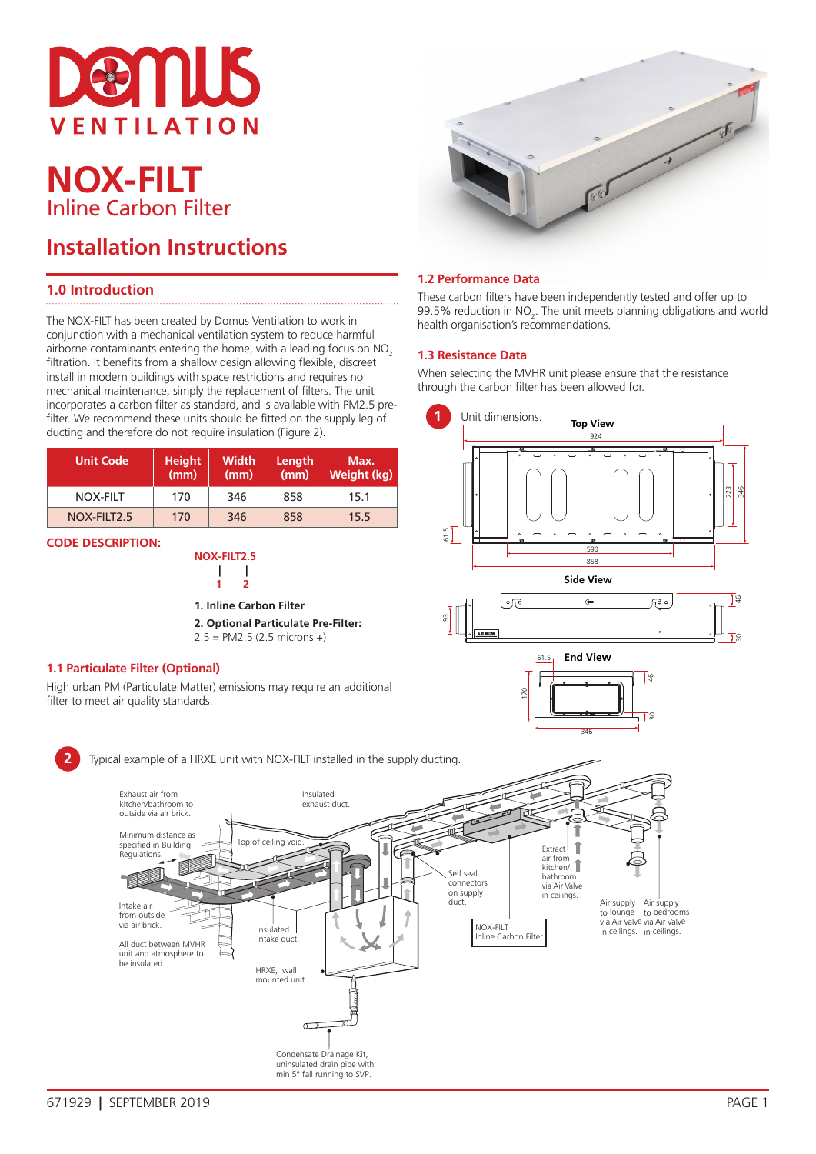

# **NOX-FILT** Inline Carbon Filter

## **Installation Instructions**

## **1.0 Introduction**

The NOX-FILT has been created by Domus Ventilation to work in conjunction with a mechanical ventilation system to reduce harmful airborne contaminants entering the home, with a leading focus on NO<sub>2</sub> filtration. It benefits from a shallow design allowing flexible, discreet install in modern buildings with space restrictions and requires no mechanical maintenance, simply the replacement of filters. The unit incorporates a carbon filter as standard, and is available with PM2.5 prefilter. We recommend these units should be fitted on the supply leg of ducting and therefore do not require insulation (Figure 2).

| <b>Unit Code</b> | <b>Height</b><br>(mm) | <b>Width</b><br>(mm) | Length<br>(mm) | Max.<br>Weight (kg) |
|------------------|-----------------------|----------------------|----------------|---------------------|
| <b>NOX-FILT</b>  | 170                   | 346                  | 858            | 15.1                |
| NOX-FILT2.5      | 170                   | 346                  | 858            | 15.5                |

#### **CODE DESCRIPTION:**

#### **1.1 Particulate Filter (Optional)**

Exhaust air from

Intake air from outside via air brick.

**Regulations** 

be insulated.

High urban PM (Particulate Matter) emissions may require an additional filter to meet air quality standards.



#### **1.2 Performance Data**

These carbon filters have been independently tested and offer up to 99.5% reduction in  $NO<sub>2</sub>$ . The unit meets planning obligations and world health organisation's recommendations.

#### **1.3 Resistance Data**

When selecting the MVHR unit please ensure that the resistance through the carbon filter has been allowed for.

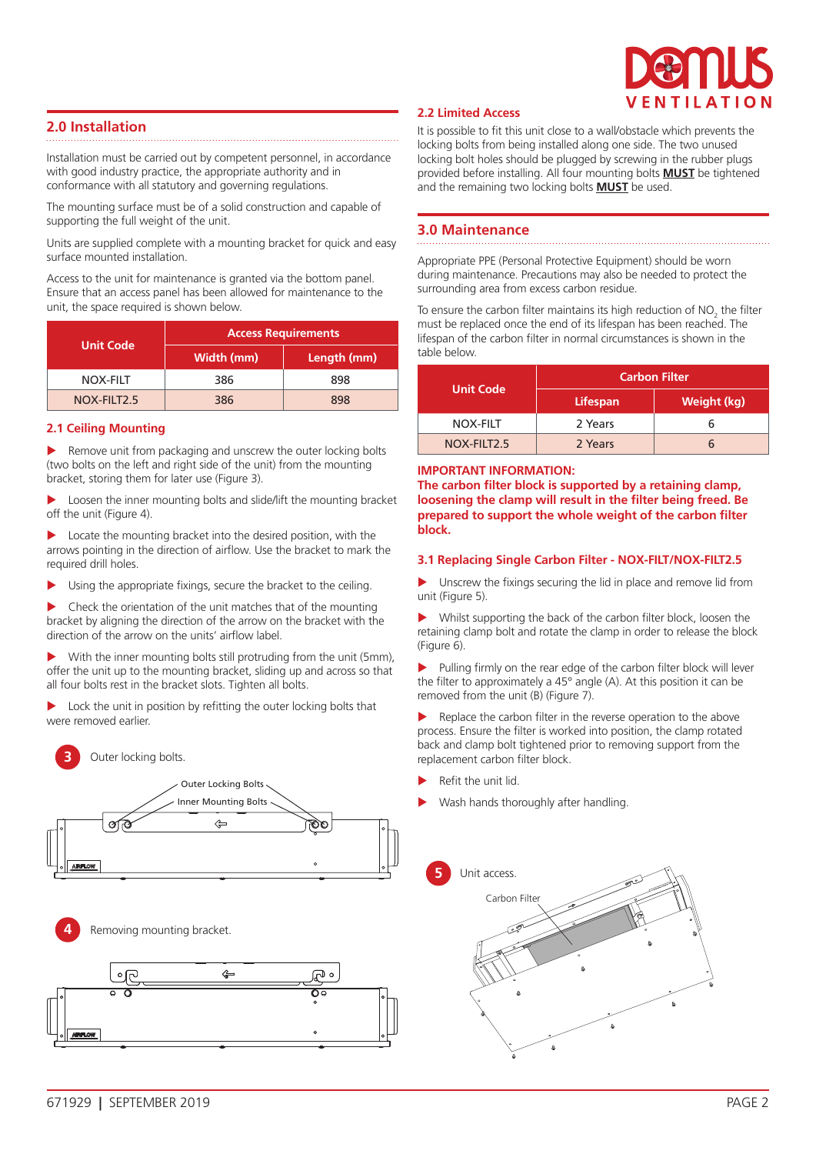

## **2.0 Installation**

Installation must be carried out by competent personnel, in accordance with good industry practice, the appropriate authority and in conformance with all statutory and governing regulations.

The mounting surface must be of a solid construction and capable of supporting the full weight of the unit.

Units are supplied complete with a mounting bracket for quick and easy surface mounted installation.

Access to the unit for maintenance is granted via the bottom panel. Ensure that an access panel has been allowed for maintenance to the unit, the space required is shown below.

| <b>Unit Code</b> | <b>Access Requirements</b> |             |  |
|------------------|----------------------------|-------------|--|
|                  | Width (mm)                 | Length (mm) |  |
| NOX-FILT         | 386                        | 898         |  |
| NOX-FILT2.5      | 386                        | 898         |  |

#### **2.1 Ceiling Mounting**

Remove unit from packaging and unscrew the outer locking bolts (two bolts on the left and right side of the unit) from the mounting bracket, storing them for later use (Figure 3).

Loosen the inner mounting bolts and slide/lift the mounting bracket off the unit (Figure 4).

Locate the mounting bracket into the desired position, with the arrows pointing in the direction of airflow. Use the bracket to mark the required drill holes.

Using the appropriate fixings, secure the bracket to the ceiling.

Check the orientation of the unit matches that of the mounting bracket by aligning the direction of the arrow on the bracket with the direction of the arrow on the units' airflow label.

With the inner mounting bolts still protruding from the unit (5mm), offer the unit up to the mounting bracket, sliding up and across so that all four bolts rest in the bracket slots. Tighten all bolts.

Lock the unit in position by refitting the outer locking bolts that were removed earlier.



Outer locking bolts.





#### **2.2 Limited Access**

It is possible to fit this unit close to a wall/obstacle which prevents the locking bolts from being installed along one side. The two unused locking bolt holes should be plugged by screwing in the rubber plugs provided before installing. All four mounting bolts **MUST** be tightened and the remaining two locking bolts **MUST** be used.

### **3.0 Maintenance**

Appropriate PPE (Personal Protective Equipment) should be worn during maintenance. Precautions may also be needed to protect the surrounding area from excess carbon residue.

To ensure the carbon filter maintains its high reduction of  $NO_2^{\circ}$  the filter must be replaced once the end of its lifespan has been reached. The lifespan of the carbon filter in normal circumstances is shown in the table below.

|                  | <b>Carbon Filter</b> |             |  |
|------------------|----------------------|-------------|--|
| <b>Unit Code</b> | <b>Lifespan</b>      | Weight (kg) |  |
| NOX-FILT         | 2 Years              |             |  |
| NOX-FILT2.5      | 2 Years              |             |  |

#### **IMPORTANT INFORMATION:**

**The carbon filter block is supported by a retaining clamp, loosening the clamp will result in the filter being freed. Be prepared to support the whole weight of the carbon filter block.**

#### **3.1 Replacing Single Carbon Filter - NOX-FILT/NOX-FILT2.5**

Unscrew the fixings securing the lid in place and remove lid from unit (Figure 5).

 $\blacktriangleright$  Whilst supporting the back of the carbon filter block, loosen the retaining clamp bolt and rotate the clamp in order to release the block (Figure 6).

Pulling firmly on the rear edge of the carbon filter block will lever the filter to approximately a 45° angle (A). At this position it can be removed from the unit (B) (Figure 7).

Replace the carbon filter in the reverse operation to the above process. Ensure the filter is worked into position, the clamp rotated back and clamp bolt tightened prior to removing support from the replacement carbon filter block.

- Refit the unit lid.
- Wash hands thoroughly after handling.